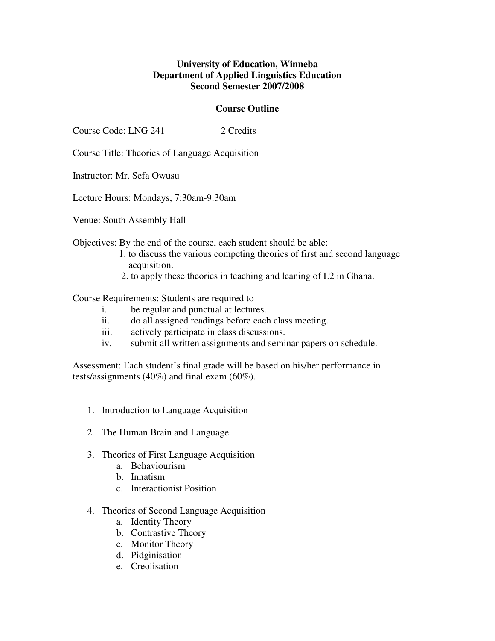## **University of Education, Winneba Department of Applied Linguistics Education Second Semester 2007/2008**

## **Course Outline**

Course Code: LNG 241 2 Credits

Course Title: Theories of Language Acquisition

Instructor: Mr. Sefa Owusu

Lecture Hours: Mondays, 7:30am-9:30am

Venue: South Assembly Hall

Objectives: By the end of the course, each student should be able:

- 1. to discuss the various competing theories of first and second language acquisition.
- 2. to apply these theories in teaching and leaning of L2 in Ghana.

Course Requirements: Students are required to

- i. be regular and punctual at lectures.
- ii. do all assigned readings before each class meeting.
- iii. actively participate in class discussions.
- iv. submit all written assignments and seminar papers on schedule.

Assessment: Each student's final grade will be based on his/her performance in tests/assignments (40%) and final exam (60%).

- 1. Introduction to Language Acquisition
- 2. The Human Brain and Language
- 3. Theories of First Language Acquisition
	- a. Behaviourism
	- b. Innatism
	- c. Interactionist Position
- 4. Theories of Second Language Acquisition
	- a. Identity Theory
	- b. Contrastive Theory
	- c. Monitor Theory
	- d. Pidginisation
	- e. Creolisation